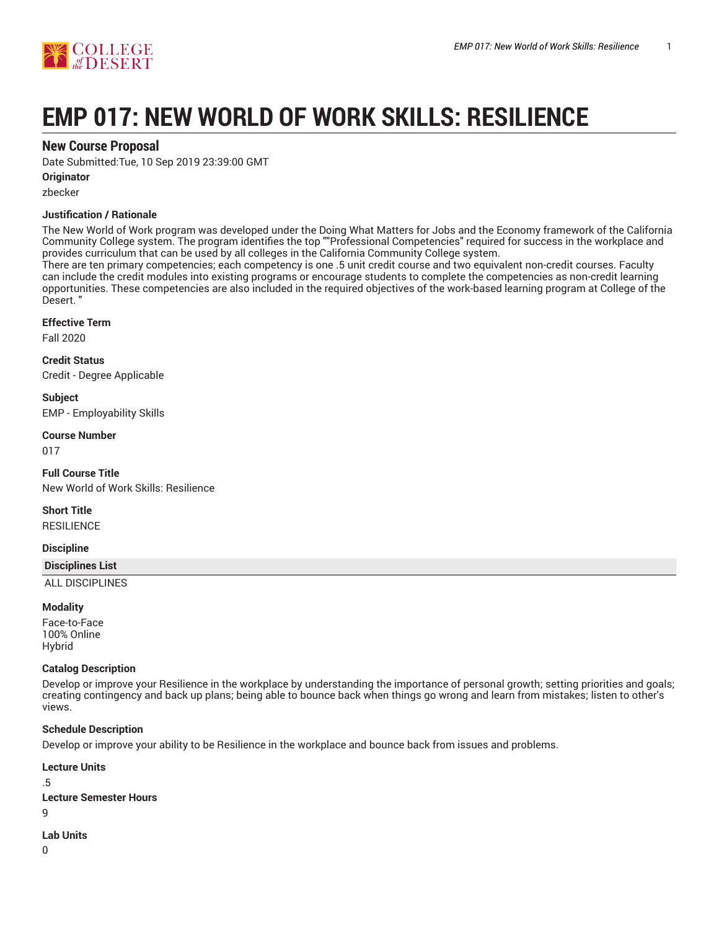

# **EMP 017: NEW WORLD OF WORK SKILLS: RESILIENCE**

## **New Course Proposal**

Date Submitted:Tue, 10 Sep 2019 23:39:00 GMT

#### **Originator**

zbecker

#### **Justification / Rationale**

The New World of Work program was developed under the Doing What Matters for Jobs and the Economy framework of the California Community College system. The program identifies the top ""Professional Competencies" required for success in the workplace and provides curriculum that can be used by all colleges in the California Community College system.

There are ten primary competencies; each competency is one .5 unit credit course and two equivalent non-credit courses. Faculty can include the credit modules into existing programs or encourage students to complete the competencies as non-credit learning opportunities. These competencies are also included in the required objectives of the work-based learning program at College of the Desert. "

#### **Effective Term**

Fall 2020

**Credit Status** Credit - Degree Applicable

**Subject** EMP - Employability Skills

#### **Course Number**

017

**Full Course Title** New World of Work Skills: Resilience

**Short Title**

**RESILIENCE** 

#### **Discipline**

**Disciplines List**

ALL DISCIPLINES

#### **Modality**

Face-to-Face 100% Online Hybrid

#### **Catalog Description**

Develop or improve your Resilience in the workplace by understanding the importance of personal growth; setting priorities and goals; creating contingency and back up plans; being able to bounce back when things go wrong and learn from mistakes; listen to other's views.

#### **Schedule Description**

Develop or improve your ability to be Resilience in the workplace and bounce back from issues and problems.

```
Lecture Units
```
.5 **Lecture Semester Hours**  $\alpha$ 

#### **Lab Units**

 $\Omega$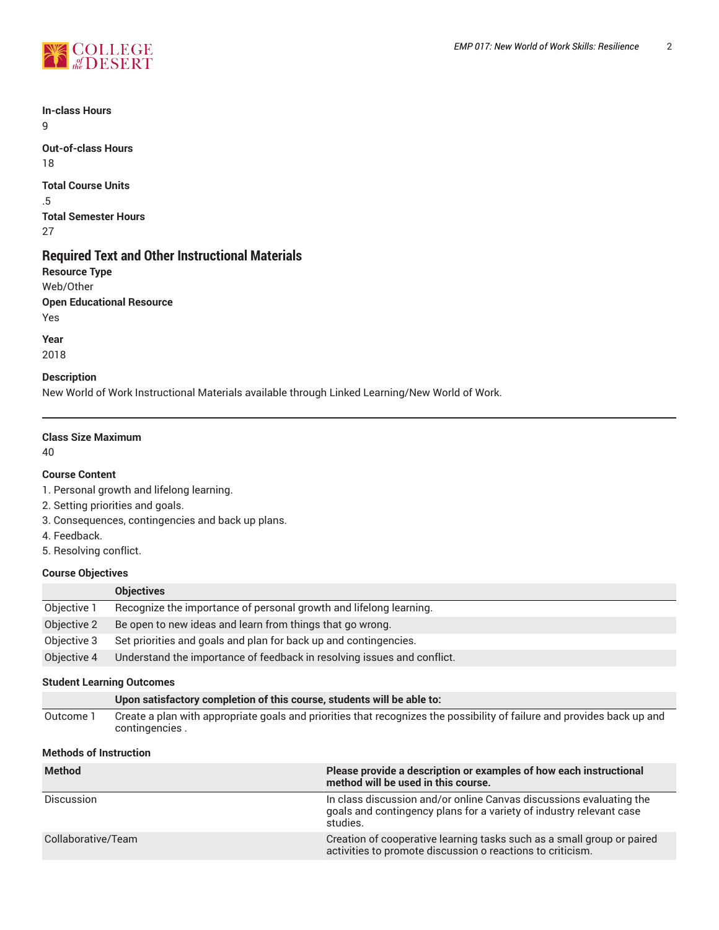

**In-class Hours** 9

**Out-of-class Hours** 18

**Total Course Units** .5 **Total Semester Hours** 27

# **Required Text and Other Instructional Materials**

**Resource Type** Web/Other **Open Educational Resource** Yes

**Year** 2018

#### **Description**

New World of Work Instructional Materials available through Linked Learning/New World of Work.

#### **Class Size Maximum**

40

#### **Course Content**

1. Personal growth and lifelong learning.

2. Setting priorities and goals.

- 3. Consequences, contingencies and back up plans.
- 4. Feedback.
- 5. Resolving conflict.

#### **Course Objectives**

|             | <b>Objectives</b>                                                       |
|-------------|-------------------------------------------------------------------------|
| Objective 1 | Recognize the importance of personal growth and lifelong learning.      |
| Objective 2 | Be open to new ideas and learn from things that go wrong.               |
| Objective 3 | Set priorities and goals and plan for back up and contingencies.        |
| Objective 4 | Understand the importance of feedback in resolving issues and conflict. |

#### **Student Learning Outcomes**

|           | Upon satisfactory completion of this course, students will be able to:                                                  |
|-----------|-------------------------------------------------------------------------------------------------------------------------|
| Outcome 1 | Create a plan with appropriate goals and priorities that recognizes the possibility of failure and provides back up and |
|           | contingencies.                                                                                                          |

#### **Methods of Instruction**

| <b>Method</b>      | Please provide a description or examples of how each instructional<br>method will be used in this course.                                              |
|--------------------|--------------------------------------------------------------------------------------------------------------------------------------------------------|
| Discussion         | In class discussion and/or online Canvas discussions evaluating the<br>goals and contingency plans for a variety of industry relevant case<br>studies. |
| Collaborative/Team | Creation of cooperative learning tasks such as a small group or paired<br>activities to promote discussion o reactions to criticism.                   |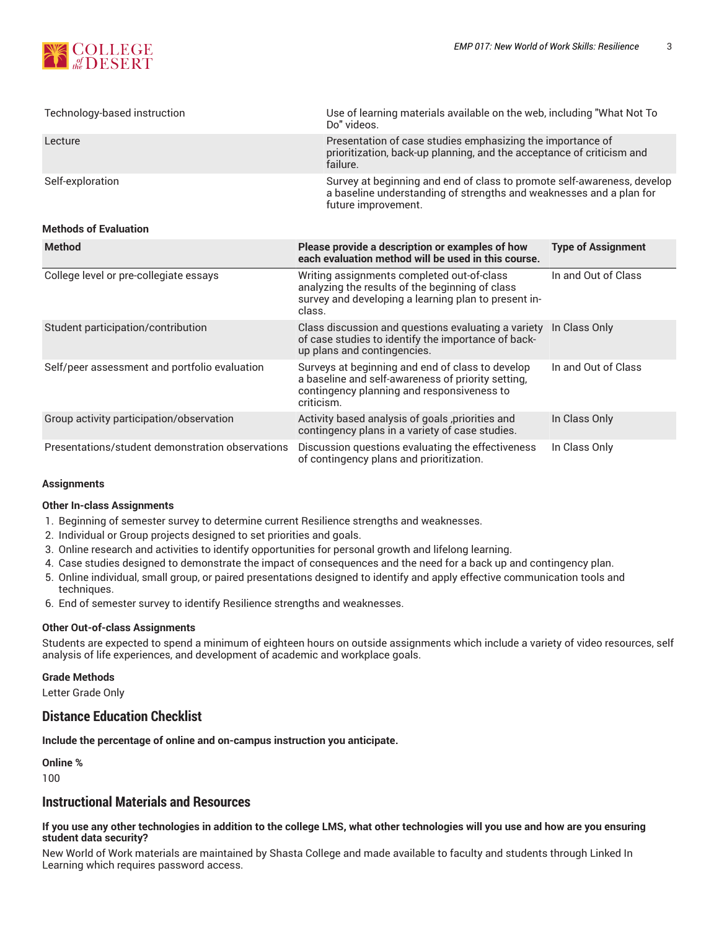

| Technology-based instruction | Use of learning materials available on the web, including "What Not To<br>Do" videos.                                                                                 |
|------------------------------|-----------------------------------------------------------------------------------------------------------------------------------------------------------------------|
| Lecture                      | Presentation of case studies emphasizing the importance of<br>prioritization, back-up planning, and the acceptance of criticism and<br>failure.                       |
| Self-exploration             | Survey at beginning and end of class to promote self-awareness, develop<br>a baseline understanding of strengths and weaknesses and a plan for<br>future improvement. |
| <b>Methods of Evaluation</b> |                                                                                                                                                                       |

| <b>Method</b>                                    | Please provide a description or examples of how<br>each evaluation method will be used in this course.                                                             | <b>Type of Assignment</b> |
|--------------------------------------------------|--------------------------------------------------------------------------------------------------------------------------------------------------------------------|---------------------------|
| College level or pre-collegiate essays           | Writing assignments completed out-of-class<br>analyzing the results of the beginning of class<br>survey and developing a learning plan to present in-<br>class.    | In and Out of Class       |
| Student participation/contribution               | Class discussion and questions evaluating a variety In Class Only<br>of case studies to identify the importance of back-<br>up plans and contingencies.            |                           |
| Self/peer assessment and portfolio evaluation    | Surveys at beginning and end of class to develop<br>a baseline and self-awareness of priority setting,<br>contingency planning and responsiveness to<br>criticism. | In and Out of Class       |
| Group activity participation/observation         | Activity based analysis of goals ,priorities and<br>contingency plans in a variety of case studies.                                                                | In Class Only             |
| Presentations/student demonstration observations | Discussion questions evaluating the effectiveness<br>of contingency plans and prioritization.                                                                      | In Class Only             |

#### **Assignments**

#### **Other In-class Assignments**

- 1. Beginning of semester survey to determine current Resilience strengths and weaknesses.
- 2. Individual or Group projects designed to set priorities and goals.
- 3. Online research and activities to identify opportunities for personal growth and lifelong learning.
- 4. Case studies designed to demonstrate the impact of consequences and the need for a back up and contingency plan.
- 5. Online individual, small group, or paired presentations designed to identify and apply effective communication tools and techniques.
- 6. End of semester survey to identify Resilience strengths and weaknesses.

#### **Other Out-of-class Assignments**

Students are expected to spend a minimum of eighteen hours on outside assignments which include a variety of video resources, self analysis of life experiences, and development of academic and workplace goals.

#### **Grade Methods**

Letter Grade Only

## **Distance Education Checklist**

**Include the percentage of online and on-campus instruction you anticipate.**

**Online %**

100

## **Instructional Materials and Resources**

#### If you use any other technologies in addition to the college LMS, what other technologies will you use and how are you ensuring **student data security?**

New World of Work materials are maintained by Shasta College and made available to faculty and students through Linked In Learning which requires password access.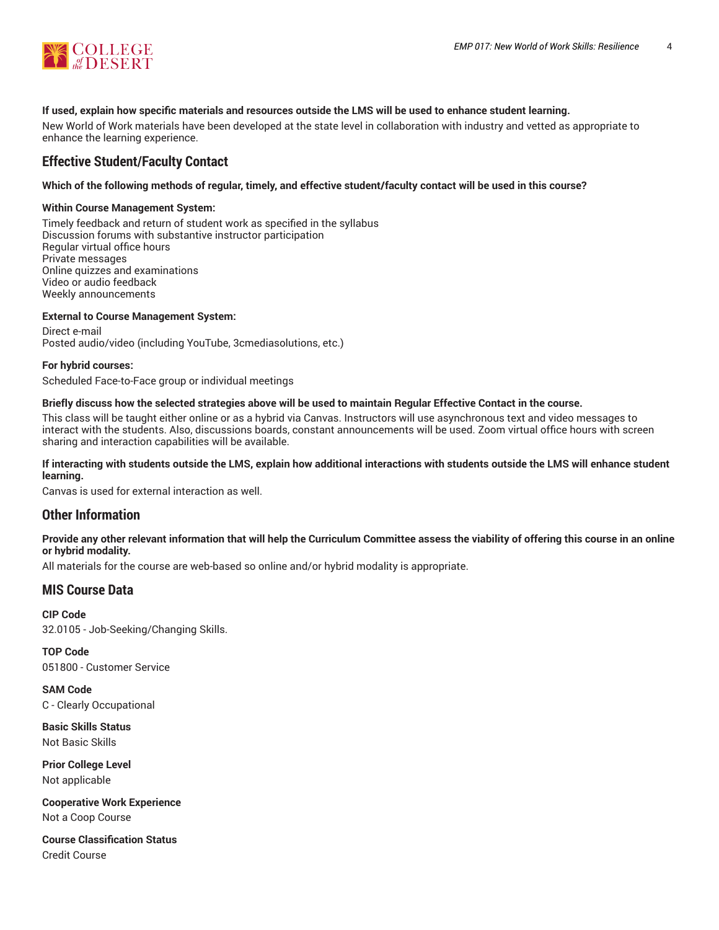

#### **If used, explain how specific materials and resources outside the LMS will be used to enhance student learning.**

New World of Work materials have been developed at the state level in collaboration with industry and vetted as appropriate to enhance the learning experience.

## **Effective Student/Faculty Contact**

#### Which of the following methods of regular, timely, and effective student/faculty contact will be used in this course?

#### **Within Course Management System:**

Timely feedback and return of student work as specified in the syllabus Discussion forums with substantive instructor participation Regular virtual office hours Private messages Online quizzes and examinations Video or audio feedback Weekly announcements

#### **External to Course Management System:**

Direct e-mail Posted audio/video (including YouTube, 3cmediasolutions, etc.)

#### **For hybrid courses:**

Scheduled Face-to-Face group or individual meetings

#### Briefly discuss how the selected strategies above will be used to maintain Regular Effective Contact in the course.

This class will be taught either online or as a hybrid via Canvas. Instructors will use asynchronous text and video messages to interact with the students. Also, discussions boards, constant announcements will be used. Zoom virtual office hours with screen sharing and interaction capabilities will be available.

#### **If interacting with students outside the LMS, explain how additional interactions with students outside the LMS will enhance student learning.**

Canvas is used for external interaction as well.

#### **Other Information**

#### Provide any other relevant information that will help the Curriculum Committee assess the viability of offering this course in an online **or hybrid modality.**

All materials for the course are web-based so online and/or hybrid modality is appropriate.

#### **MIS Course Data**

**CIP Code** 32.0105 - Job-Seeking/Changing Skills.

**TOP Code** 051800 - Customer Service

**SAM Code** C - Clearly Occupational

**Basic Skills Status** Not Basic Skills

**Prior College Level** Not applicable

**Cooperative Work Experience** Not a Coop Course

**Course Classification Status** Credit Course